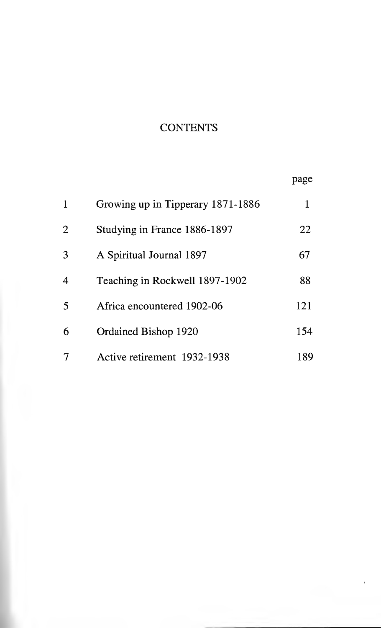## **CONTENTS**

|   |                                   | page |
|---|-----------------------------------|------|
| 1 | Growing up in Tipperary 1871-1886 | 1    |
| 2 | Studying in France 1886-1897      | 22   |
| 3 | A Spiritual Journal 1897          | 67   |
| 4 | Teaching in Rockwell 1897-1902    | 88   |
| 5 | Africa encountered 1902-06        | 121  |
| 6 | Ordained Bishop 1920              | 154  |
|   | Active retirement 1932-1938       | 189  |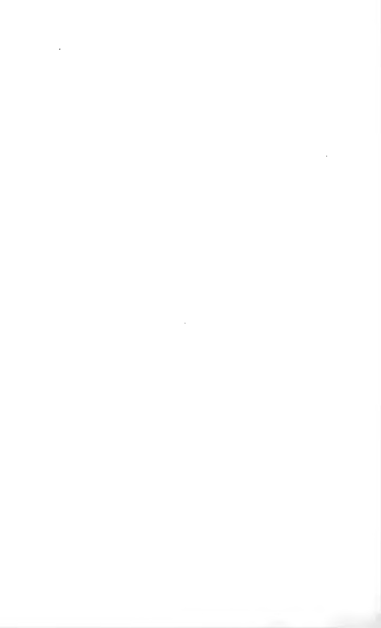$\mathcal{L}_{\mathrm{eff}}$  $\bar{\phantom{a}}$  $\mathcal{L}^{\text{max}}_{\text{max}}$  and  $\mathcal{L}^{\text{max}}_{\text{max}}$